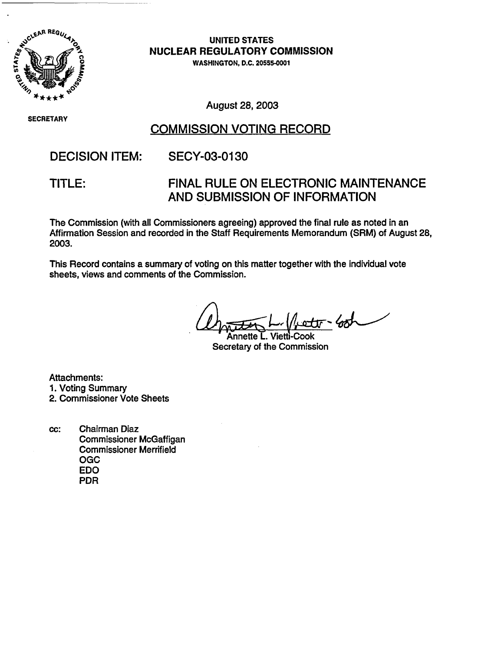

**UNITED STATES NUCLEAR REGULATORY COMMISSION**

WASHINGTON, D.C. 20555-00

SECRETARY

August 28, 2003

## COMMISSION VOTING RECORD

## DECISION ITEM: SECY-03-0130

TITLE: FINAL RULE ON ELECTRONIC MAINTENANCE AND SUBMISSION OF INFORMATION

The Commission (with all Commissioners agreeing) approved the final rule as noted in an Affirmation Session and recorded in the Staff Requirements Memorandum (SRM) of August 28, 2003.

This Record contains a summary of voting on this matter together with the individual vote sheets, views and comments of the Commission.

Annette L. Vietti-Cook

Secretary of the Commission

Attachments: 1. Voting Summary 2. Commissioner Vote Sheets

cc: Chairman Diaz Commissioner McGaffigan Commissioner Merrifield OGC EDO PDR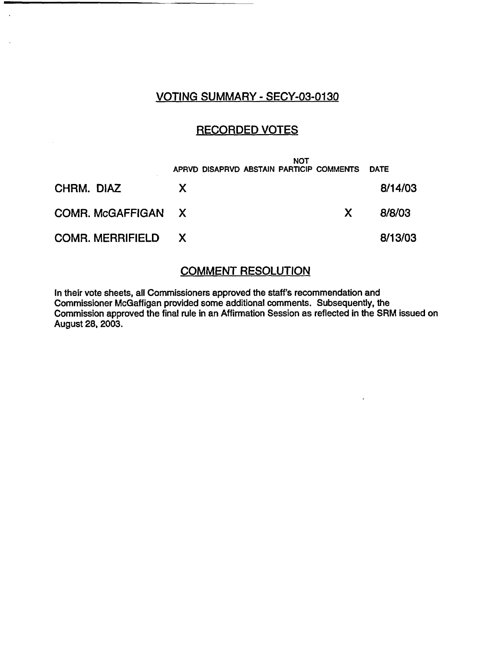### VOTING SUMMARY - SECY-03-0130

 $\ddot{\phantom{a}}$ 

### RECORDED VOTES

|                           | APRVD DISAPRVD ABSTAIN PARTICIP COMMENTS | <b>NOT</b> |              | <b>DATE</b> |
|---------------------------|------------------------------------------|------------|--------------|-------------|
| CHRM. DIAZ                | X.                                       |            |              | 8/14/03     |
| COMR. McGAFFIGAN X        |                                          |            | $\mathsf{X}$ | 8/8/03      |
| <b>COMR. MERRIFIELD X</b> |                                          |            |              | 8/13/03     |

### COMMENT RESOLUTION

In their vote sheets, all Commissioners approved the staff's recommendation and Commissioner McGaffigan provided some additional comments. Subsequently, the Commission approved the final rule in an Affirmation Session as reflected in the SRM issued on August 28, 2003.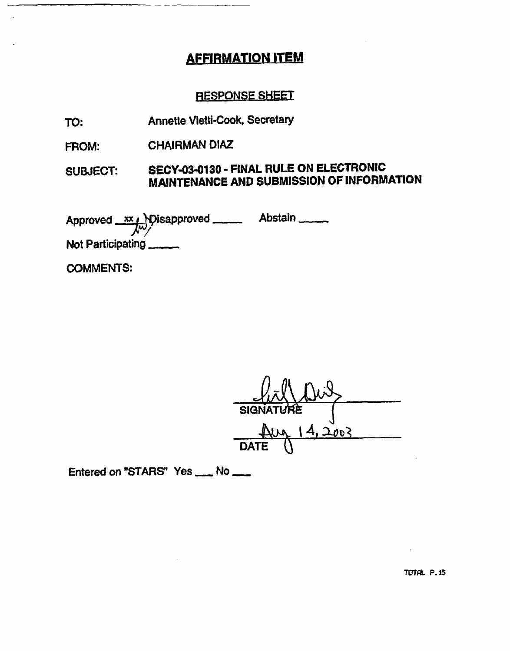# AFFIRMATION ITEM

## RESPONSE SHEEI

- TO: Annette Vietti-Cook, Secretary
- FROM: CHAIRMAN DIAZ

#### SUBJECT: SECY-03-0130 - FINAL RULE ON **ELECTRONIC MAINTENANCE** AND **SUBMISSION OF INFORMATION**

Approved XX Disapproved Abstair Not Participating.-

COMMENTS:

**SIGN**  $2003$ **DATE** 

Entered on "STARS" Yes \_\_ No \_\_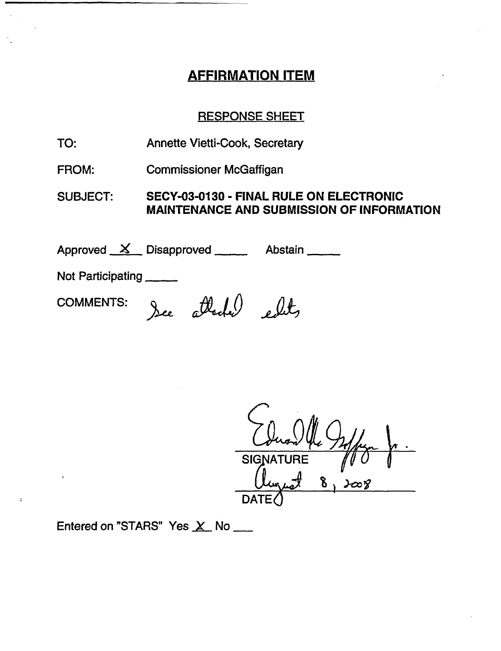# AFFIRMATION ITEM

## RESPONSE SHEET

- TO: Annette Vietti-Cook, Secretary
- FROM: Commissioner McGaffigan

SUBJECT: **SECY-03-0130 - FINAL RULE ON ELECTRONIC MAINTENANCE AND SUBMISSION OF INFORMATION**

Approved <u>X</u> Disapproved Abstain

Not Participating

COMMENTS: See attached edits

SIGNA 8 DATE $\zeta$ 

Entered on "STARS" Yes  $X$  No  $\_\_$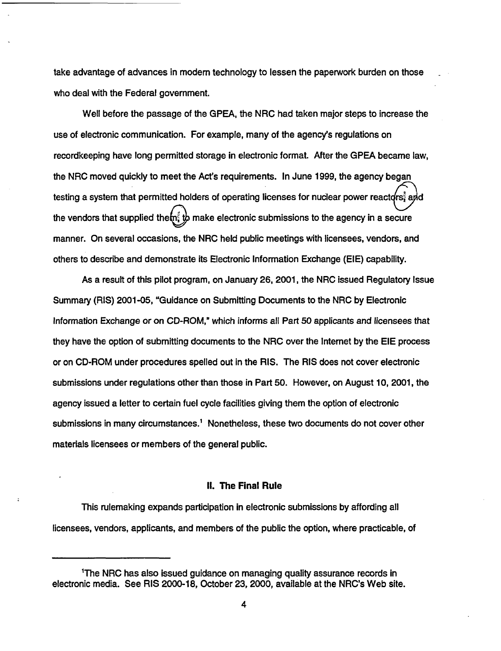take advantage of advances in modem technology to lessen the paperwork burden on those who deal with the Federal government.

Well before the passage of the GPEA, the NRC had taken major steps to increase the use of electronic communication. For example, many of the agency's regulations on recordkeeping have long permitted storage in electronic format. After the GPEA became law, the NRC moved quickly to meet the Act's requirements. In June 1999, the agency began testing a system that permitted holders of operating licenses for nuclear power reactors, and the vendors that supplied the $\mathbf{m}^3$   $\mathbf{b}$  make electronic submissions to the agency in a secure manner. On several occasions, the NRC held public meetings with licensees, vendors, and others to describe and demonstrate its Electronic Information Exchange (EIE) capability.

As a result of this pilot program, on January 26, 2001, the NRC issued Regulatory Issue Summary (RIS) 2001-05, "Guidance on Submitting Documents to the NRC by Electronic Information Exchange or on CD-ROM," which informs all Part 50 applicants and licensees that they have the option of submitting documents to the NRC over the Intemet by the EIE process or on CD-ROM under procedures spelled out in the RIS. The RIS does not cover electronic submissions under regulations other than those in Part 50. However, on August 10, 2001, the agency issued a letter to certain fuel cycle facilities giving them the option of electronic submissions in many circumstances.' Nonetheless, these two documents do not cover other materials licensees or members of the general public.

#### **II.** The **Final Rule**

This rulemaking expands participation in electronic submissions by affording all licensees, vendors, applicants, and members of the public the option, where practicable, of

<sup>&#</sup>x27;The NRC has also issued guidance on managing quality assurance records in electronic media. See RIS 2000-18, October 23, 2000, available at the NRC's Web site.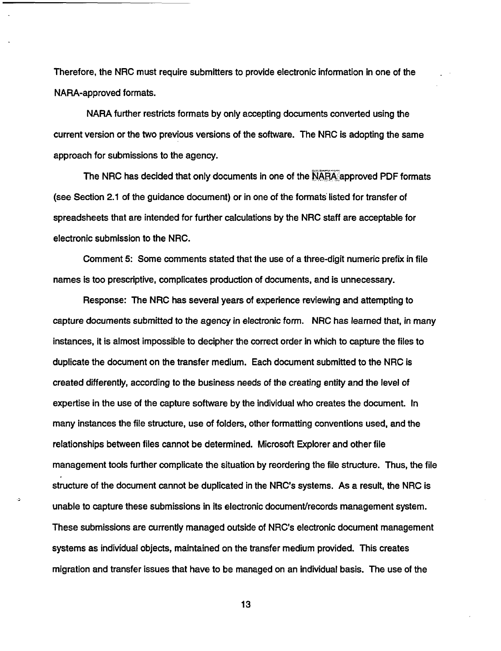Therefore, the NRC must require submitters to provide electronic information in one of the NARA-approved formats.

NARA further restricts formats by only accepting documents converted using the current version or the two previous versions of the software. The NRC is adopting the same approach for submissions to the agency.

The NRC has decided that only documents in one of the NARA approved PDF formats (see Section 2.1 of the guidance document) or in one of the formats listed for transfer of spreadsheets that are intended for further calculations by the NRC staff are acceptable for electronic submission to the NRC.

Comment 5: Some comments stated that the use of a three-digit numeric prefix in file names is too prescriptive, complicates production of documents, and is unnecessary.

Response: The NRC has several years of experience reviewing and attempting to capture documents submitted to the agency in electronic form. NRC has learned that, in many instances, it is almost impossible to decipher the correct order in which to capture the files to duplicate the document on the transfer medium. Each document submitted to the NRC is created differently, according to the business needs of the creating entity and the level of expertise in the use of the capture software by the individual who creates the document. In many instances the file structure, use of folders, other formatting conventions used, and the relationships between files cannot be determined. Microsoft Explorer and other file management tools further complicate the situation by reordering the file structure. Thus, the file structure of the document cannot be duplicated in the NRC's systems. As a result, the NRC is unable to capture these submissions in its electronic document/records management system. These submissions are currently managed outside of NRC's electronic document management systems as individual objects, maintained on the transfer medium provided. This creates migration and transfer issues that have to be managed on an individual basis. The use of the

13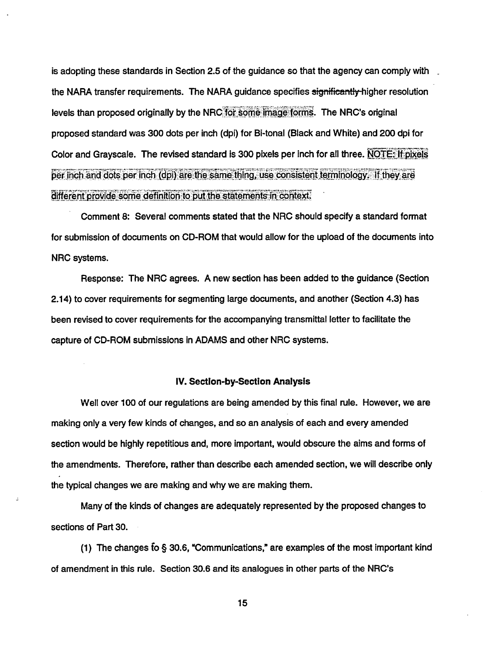is adopting these standards in Section 2.5 of the guidance so that the agency can comply with the NARA transfer requirements. The NARA guidance specifies significantly higher resolution levels than proposed originally by the NRC for some image forms. The NRC's original proposed standard was 300 dots per inch (dpi) for Bi-tonal (Black and White) and 200 dpi for Color and Grayscale. The revised standard is 300 pixels per inch for all three. NOTE: If pixels per inch and dots per inch (dpi) are the same thing, use consistent terminology. If they are different provide some definition to put the statements in context.

Comment 8: Several comments stated that the NRC should specify a standard format for submission of documents on CD-ROM that would allow for the upload of the documents into NRC systems.

Response: The NRC agrees. A new section has been added to the guidance (Section 2.14) to cover requirements for segmenting large documents, and another (Section 4.3) has been revised to cover requirements for the accompanying transmittal letter to facilitate the capture of CD-ROM submissions in ADAMS and other NRC systems.

#### IV. **Section-by-Section Analysis**

Well over 100 of our regulations are being amended by this final rule. However, we are making only a very few kinds of changes, and so an analysis of each and every amended section would be highly repetitious and, more important, would obscure the aims and forms of the amendments. Therefore, rather than describe each amended section, we will describe only the typical changes we are making and why we are making them.

Many of the kinds of changes are adequately represented by the proposed changes to sections of Part 30.

(1) The changes fo § 30.6, Communications,' are examples of the most important kind of amendment in this rule. Section 30.6 and its analogues in other parts of the NRC's

15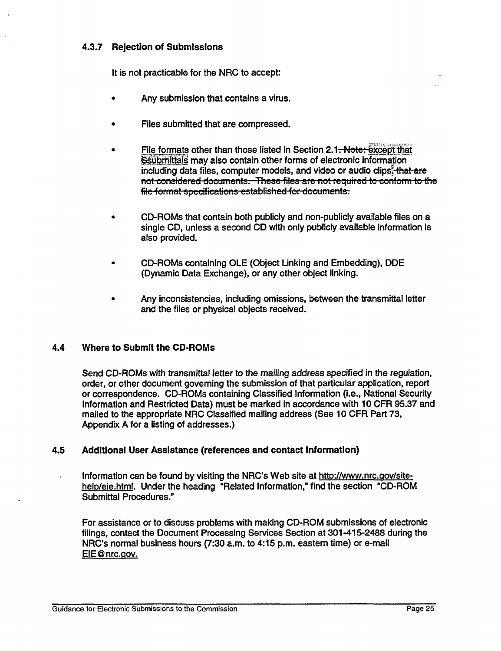### 4.3.7 Rejection of Submissions

It is not practicable for the NRC to accept:

- Any submission that contains a virus.
- Files submitted that are compressed.
- File formats other than those listed in Section 2.1-Note: except that Ssubmittals may also contain other forms of electronic information including data files, computer models, and video or audio clips. that are not considered documents. These files are not required to conform to the file format specifications established for documents.
- CD-ROMs that contain both publicly and non-publicly available files on a single CD, unless a second CD with only publicly available information is also provided.
- \* CD-ROMs containing OLE (Object Linking and Embedding), DDE (Dynamic Data Exchange), or any other object linking.
- Any inconsistencies, including omissions, between the transmittal letter and the files or physical objects received.

### 4.4 **Where to Submit the CD-ROMs**

Send CD-ROMs with transmittal letter to the mailing address specified in the regulation, order, or other document governing the submission of that particular application, report or correspondence. CD-ROMs containing Classified Information (i.e., National Security Information and Restricted Data) must be marked in accordance with 10 CFR 95.37 and mailed to the appropriate NRC Classified mailing address (See 10 CFR Part 73, Appendix A for a listing of addresses.)

### **4.5 Additional User Assistance (references and contact Information)**

Information can be found by visiting the NRC's Web site at http://www.nrc.gov/sitehelp/eie.html. Under the heading "Related Information," find the section "CD-ROM Submittal Procedures."

For assistance or to discuss problems with making CD-ROM submissions of electronic filings, contact the Document Processing Services Section at 301-415-2488 during the NRC's normal business hours (7:30 a.m. to 4:15 p.m. eastern time) or e-mail EIE@ nrc.aov.